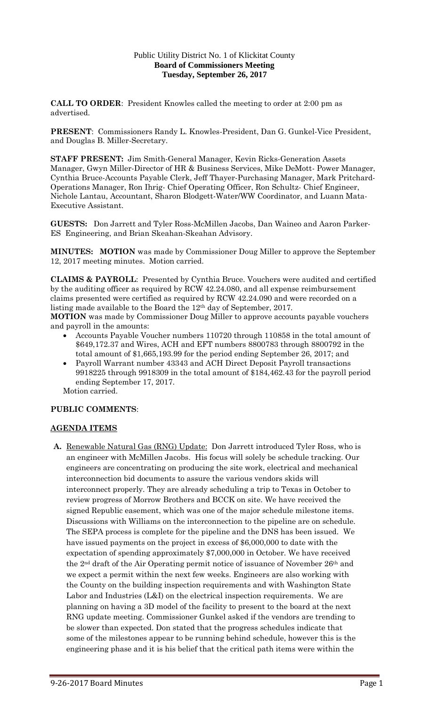## Public Utility District No. 1 of Klickitat County **Board of Commissioners Meeting Tuesday, September 26, 2017**

**CALL TO ORDER**: President Knowles called the meeting to order at 2:00 pm as advertised.

**PRESENT**: Commissioners Randy L. Knowles-President, Dan G. Gunkel-Vice President, and Douglas B. Miller-Secretary.

**STAFF PRESENT:** Jim Smith-General Manager, Kevin Ricks-Generation Assets Manager, Gwyn Miller-Director of HR & Business Services, Mike DeMott- Power Manager, Cynthia Bruce-Accounts Payable Clerk, Jeff Thayer-Purchasing Manager, Mark Pritchard-Operations Manager, Ron Ihrig- Chief Operating Officer, Ron Schultz- Chief Engineer, Nichole Lantau, Accountant, Sharon Blodgett-Water/WW Coordinator, and Luann Mata-Executive Assistant.

**GUESTS:** Don Jarrett and Tyler Ross-McMillen Jacobs, Dan Waineo and Aaron Parker-ES Engineering, and Brian Skeahan-Skeahan Advisory.

**MINUTES: MOTION** was made by Commissioner Doug Miller to approve the September 12, 2017 meeting minutes. Motion carried.

**CLAIMS & PAYROLL**: Presented by Cynthia Bruce. Vouchers were audited and certified by the auditing officer as required by RCW 42.24.080, and all expense reimbursement claims presented were certified as required by RCW 42.24.090 and were recorded on a listing made available to the Board the 12th day of September, 2017.

**MOTION** was made by Commissioner Doug Miller to approve accounts payable vouchers and payroll in the amounts:

- Accounts Payable Voucher numbers 110720 through 110858 in the total amount of \$649,172.37 and Wires, ACH and EFT numbers 8800783 through 8800792 in the total amount of \$1,665,193.99 for the period ending September 26, 2017; and
- Payroll Warrant number 43343 and ACH Direct Deposit Payroll transactions 9918225 through 9918309 in the total amount of \$184,462.43 for the payroll period ending September 17, 2017.

Motion carried.

# **PUBLIC COMMENTS**:

# **AGENDA ITEMS**

**A.** Renewable Natural Gas (RNG) Update: Don Jarrett introduced Tyler Ross, who is an engineer with McMillen Jacobs. His focus will solely be schedule tracking. Our engineers are concentrating on producing the site work, electrical and mechanical interconnection bid documents to assure the various vendors skids will interconnect properly. They are already scheduling a trip to Texas in October to review progress of Morrow Brothers and BCCK on site. We have received the signed Republic easement, which was one of the major schedule milestone items. Discussions with Williams on the interconnection to the pipeline are on schedule. The SEPA process is complete for the pipeline and the DNS has been issued. We have issued payments on the project in excess of \$6,000,000 to date with the expectation of spending approximately \$7,000,000 in October. We have received the 2nd draft of the Air Operating permit notice of issuance of November 26th and we expect a permit within the next few weeks. Engineers are also working with the County on the building inspection requirements and with Washington State Labor and Industries (L&I) on the electrical inspection requirements. We are planning on having a 3D model of the facility to present to the board at the next RNG update meeting. Commissioner Gunkel asked if the vendors are trending to be slower than expected. Don stated that the progress schedules indicate that some of the milestones appear to be running behind schedule, however this is the engineering phase and it is his belief that the critical path items were within the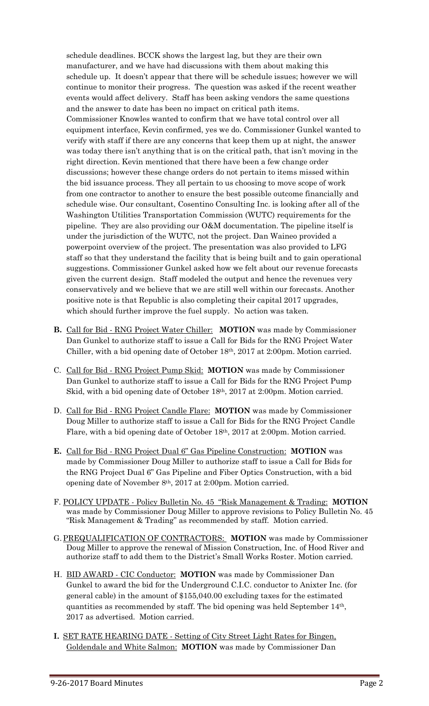schedule deadlines. BCCK shows the largest lag, but they are their own manufacturer, and we have had discussions with them about making this schedule up. It doesn't appear that there will be schedule issues; however we will continue to monitor their progress. The question was asked if the recent weather events would affect delivery. Staff has been asking vendors the same questions and the answer to date has been no impact on critical path items. Commissioner Knowles wanted to confirm that we have total control over all equipment interface, Kevin confirmed, yes we do. Commissioner Gunkel wanted to verify with staff if there are any concerns that keep them up at night, the answer was today there isn't anything that is on the critical path, that isn't moving in the right direction. Kevin mentioned that there have been a few change order discussions; however these change orders do not pertain to items missed within the bid issuance process. They all pertain to us choosing to move scope of work from one contractor to another to ensure the best possible outcome financially and schedule wise. Our consultant, Cosentino Consulting Inc. is looking after all of the Washington Utilities Transportation Commission (WUTC) requirements for the pipeline. They are also providing our O&M documentation. The pipeline itself is under the jurisdiction of the WUTC, not the project. Dan Waineo provided a powerpoint overview of the project. The presentation was also provided to LFG staff so that they understand the facility that is being built and to gain operational suggestions. Commissioner Gunkel asked how we felt about our revenue forecasts given the current design. Staff modeled the output and hence the revenues very conservatively and we believe that we are still well within our forecasts. Another positive note is that Republic is also completing their capital 2017 upgrades, which should further improve the fuel supply. No action was taken.

- **B.** Call for Bid RNG Project Water Chiller: **MOTION** was made by Commissioner Dan Gunkel to authorize staff to issue a Call for Bids for the RNG Project Water Chiller, with a bid opening date of October 18th, 2017 at 2:00pm. Motion carried.
- C. Call for Bid RNG Project Pump Skid: **MOTION** was made by Commissioner Dan Gunkel to authorize staff to issue a Call for Bids for the RNG Project Pump Skid, with a bid opening date of October 18th, 2017 at 2:00pm. Motion carried.
- D. Call for Bid RNG Project Candle Flare: **MOTION** was made by Commissioner Doug Miller to authorize staff to issue a Call for Bids for the RNG Project Candle Flare, with a bid opening date of October 18th, 2017 at 2:00pm. Motion carried.
- **E.** Call for Bid RNG Project Dual 6" Gas Pipeline Construction: **MOTION** was made by Commissioner Doug Miller to authorize staff to issue a Call for Bids for the RNG Project Dual 6" Gas Pipeline and Fiber Optics Construction, with a bid opening date of November 8th, 2017 at 2:00pm. Motion carried.
- F. POLICY UPDATE Policy Bulletin No. 45 "Risk Management & Trading: **MOTION**  was made by Commissioner Doug Miller to approve revisions to Policy Bulletin No. 45 "Risk Management & Trading" as recommended by staff. Motion carried.
- G.PREQUALIFICATION OF CONTRACTORS: **MOTION** was made by Commissioner Doug Miller to approve the renewal of Mission Construction, Inc. of Hood River and authorize staff to add them to the District's Small Works Roster. Motion carried.
- H. BID AWARD CIC Conductor: **MOTION** was made by Commissioner Dan Gunkel to award the bid for the Underground C.I.C. conductor to Anixter Inc. (for general cable) in the amount of \$155,040.00 excluding taxes for the estimated quantities as recommended by staff. The bid opening was held September 14th, 2017 as advertised. Motion carried.
- **I.** SET RATE HEARING DATE Setting of City Street Light Rates for Bingen, Goldendale and White Salmon: **MOTION** was made by Commissioner Dan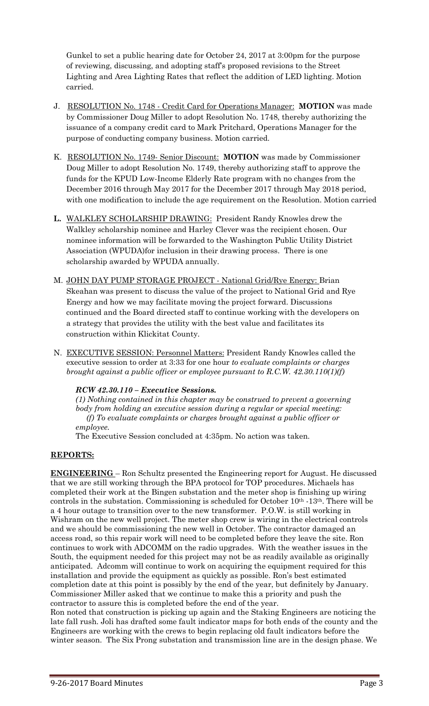Gunkel to set a public hearing date for October 24, 2017 at 3:00pm for the purpose of reviewing, discussing, and adopting staff's proposed revisions to the Street Lighting and Area Lighting Rates that reflect the addition of LED lighting. Motion carried.

- J. RESOLUTION No. 1748 Credit Card for Operations Manager: **MOTION** was made by Commissioner Doug Miller to adopt Resolution No. 1748, thereby authorizing the issuance of a company credit card to Mark Pritchard, Operations Manager for the purpose of conducting company business. Motion carried.
- K. RESOLUTION No. 1749- Senior Discount: **MOTION** was made by Commissioner Doug Miller to adopt Resolution No. 1749, thereby authorizing staff to approve the funds for the KPUD Low-Income Elderly Rate program with no changes from the December 2016 through May 2017 for the December 2017 through May 2018 period, with one modification to include the age requirement on the Resolution. Motion carried
- **L.** WALKLEY SCHOLARSHIP DRAWING: President Randy Knowles drew the Walkley scholarship nominee and Harley Clever was the recipient chosen. Our nominee information will be forwarded to the Washington Public Utility District Association (WPUDA)for inclusion in their drawing process. There is one scholarship awarded by WPUDA annually.
- M. JOHN DAY PUMP STORAGE PROJECT National Grid/Rye Energy: Brian Skeahan was present to discuss the value of the project to National Grid and Rye Energy and how we may facilitate moving the project forward. Discussions continued and the Board directed staff to continue working with the developers on a strategy that provides the utility with the best value and facilitates its construction within Klickitat County.
- N. EXECUTIVE SESSION: Personnel Matters: President Randy Knowles called the executive session to order at 3:33 for one hour *to evaluate complaints or charges brought against a public officer or employee pursuant to R.C.W. 42.30.110(1)(f)*

# *RCW 42.30.110 – Executive Sessions.*

*(1) Nothing contained in this chapter may be construed to prevent a governing body from holding an executive session during a regular or special meeting: (f) To evaluate complaints or charges brought against a public officer or employee.* 

The Executive Session concluded at 4:35pm. No action was taken.

# **REPORTS:**

**ENGINEERING** – Ron Schultz presented the Engineering report for August. He discussed that we are still working through the BPA protocol for TOP procedures. Michaels has completed their work at the Bingen substation and the meter shop is finishing up wiring controls in the substation. Commissioning is scheduled for October  $10^{th}$  -13<sup>th</sup>. There will be a 4 hour outage to transition over to the new transformer. P.O.W. is still working in Wishram on the new well project. The meter shop crew is wiring in the electrical controls and we should be commissioning the new well in October. The contractor damaged an access road, so this repair work will need to be completed before they leave the site. Ron continues to work with ADCOMM on the radio upgrades. With the weather issues in the South, the equipment needed for this project may not be as readily available as originally anticipated. Adcomm will continue to work on acquiring the equipment required for this installation and provide the equipment as quickly as possible. Ron's best estimated completion date at this point is possibly by the end of the year, but definitely by January. Commissioner Miller asked that we continue to make this a priority and push the contractor to assure this is completed before the end of the year.

Ron noted that construction is picking up again and the Staking Engineers are noticing the late fall rush. Joli has drafted some fault indicator maps for both ends of the county and the Engineers are working with the crews to begin replacing old fault indicators before the winter season. The Six Prong substation and transmission line are in the design phase. We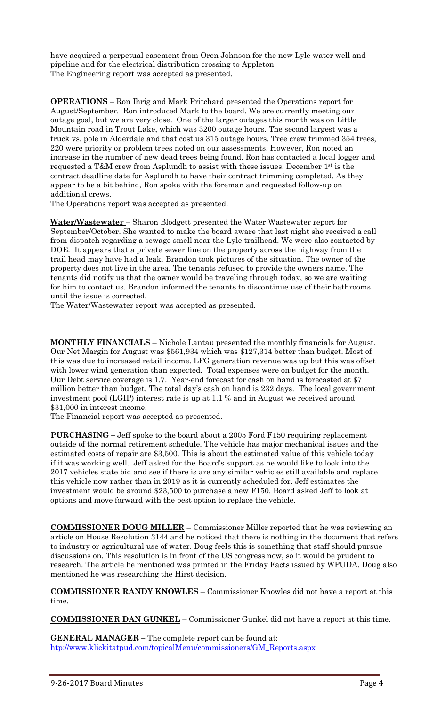have acquired a perpetual easement from Oren Johnson for the new Lyle water well and pipeline and for the electrical distribution crossing to Appleton. The Engineering report was accepted as presented.

**OPERATIONS** – Ron Ihrig and Mark Pritchard presented the Operations report for August/September. Ron introduced Mark to the board. We are currently meeting our outage goal, but we are very close. One of the larger outages this month was on Little Mountain road in Trout Lake, which was 3200 outage hours. The second largest was a truck vs. pole in Alderdale and that cost us 315 outage hours. Tree crew trimmed 354 trees, 220 were priority or problem trees noted on our assessments. However, Ron noted an increase in the number of new dead trees being found. Ron has contacted a local logger and requested a T&M crew from Asplundh to assist with these issues. December 1st is the contract deadline date for Asplundh to have their contract trimming completed. As they appear to be a bit behind, Ron spoke with the foreman and requested follow-up on additional crews.

The Operations report was accepted as presented.

**Water/Wastewater** – Sharon Blodgett presented the Water Wastewater report for September/October. She wanted to make the board aware that last night she received a call from dispatch regarding a sewage smell near the Lyle trailhead. We were also contacted by DOE. It appears that a private sewer line on the property across the highway from the trail head may have had a leak. Brandon took pictures of the situation. The owner of the property does not live in the area. The tenants refused to provide the owners name. The tenants did notify us that the owner would be traveling through today, so we are waiting for him to contact us. Brandon informed the tenants to discontinue use of their bathrooms until the issue is corrected.

The Water/Wastewater report was accepted as presented.

**MONTHLY FINANCIALS** – Nichole Lantau presented the monthly financials for August. Our Net Margin for August was \$561,934 which was \$127,314 better than budget. Most of this was due to increased retail income. LFG generation revenue was up but this was offset with lower wind generation than expected. Total expenses were on budget for the month. Our Debt service coverage is 1.7. Year-end forecast for cash on hand is forecasted at \$7 million better than budget. The total day's cash on hand is 232 days. The local government investment pool (LGIP) interest rate is up at 1.1 % and in August we received around \$31,000 in interest income.

The Financial report was accepted as presented.

**PURCHASING –** Jeff spoke to the board about a 2005 Ford F150 requiring replacement outside of the normal retirement schedule. The vehicle has major mechanical issues and the estimated costs of repair are \$3,500. This is about the estimated value of this vehicle today if it was working well. Jeff asked for the Board's support as he would like to look into the 2017 vehicles state bid and see if there is are any similar vehicles still available and replace this vehicle now rather than in 2019 as it is currently scheduled for. Jeff estimates the investment would be around \$23,500 to purchase a new F150. Board asked Jeff to look at options and move forward with the best option to replace the vehicle.

**COMMISSIONER DOUG MILLER** – Commissioner Miller reported that he was reviewing an article on House Resolution 3144 and he noticed that there is nothing in the document that refers to industry or agricultural use of water. Doug feels this is something that staff should pursue discussions on. This resolution is in front of the US congress now, so it would be prudent to research. The article he mentioned was printed in the Friday Facts issued by WPUDA. Doug also mentioned he was researching the Hirst decision.

**COMMISSIONER RANDY KNOWLES** – Commissioner Knowles did not have a report at this time.

**COMMISSIONER DAN GUNKEL** – Commissioner Gunkel did not have a report at this time.

**GENERAL MANAGER –** The complete report can be found at: [htp://www.klickitatpud.com/topicalMenu/commissioners/GM\\_Reports.aspx](http://www.klickitatpud.com/topicalMenu/commissioners/GM_Reports.aspx)